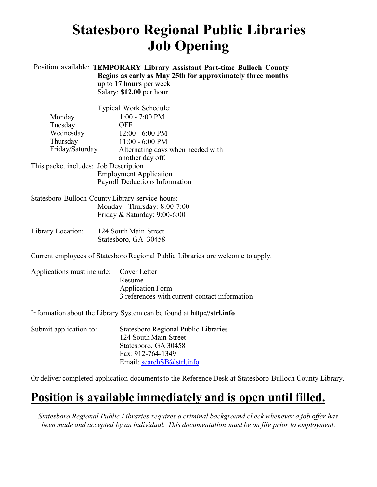# **Statesboro Regional Public Libraries Job Opening**

### Position available: **TEMPORARY Library Assistant Part-time Bulloch County Begins as early as May 25th for approximately three months** up to **17 hours** per week

Salary: **\$12.00** per hour

|                                       | Typical Work Schedule:            |  |
|---------------------------------------|-----------------------------------|--|
| Monday                                | $1:00 - 7:00$ PM                  |  |
| Tuesday                               | OFF                               |  |
| Wednesday                             | $12:00 - 6:00$ PM                 |  |
| Thursday                              | $11:00 - 6:00$ PM                 |  |
| Friday/Saturday                       | Alternating days when needed with |  |
|                                       | another day off.                  |  |
| This packet includes: Job Description |                                   |  |
| <b>Employment Application</b>         |                                   |  |
| Payroll Deductions Information        |                                   |  |

Statesboro-Bulloch County Library service hours: Monday - Thursday: 8:00-7:00 Friday & Saturday: 9:00-6:00

| Library Location: | 124 South Main Street |
|-------------------|-----------------------|
|                   | Statesboro, GA 30458  |

Current employees of Statesboro Regional Public Libraries are welcome to apply.

| Applications must include: Cover Letter |                                               |
|-----------------------------------------|-----------------------------------------------|
|                                         | Resume                                        |
|                                         | <b>Application Form</b>                       |
|                                         | 3 references with current contact information |
|                                         |                                               |

Information about the Library System can be found at **[http://strl.info](http://strl.info/)**

| Statesboro Regional Public Libraries |
|--------------------------------------|
| 124 South Main Street                |
| Statesboro, GA 30458                 |
| Fax: 912-764-1349                    |
| Email: $searchSB@strl.info$          |
|                                      |

Or deliver completed application documents to the Reference Desk at Statesboro-Bulloch County Library.

# **Position is available immediately and is open until filled.**

*Statesboro Regional Public Libraries requires a criminal background check whenever a job offer has been made and accepted by an individual. This documentation must be on file prior to employment.*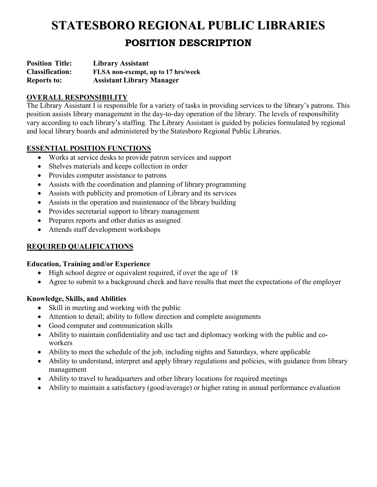# **STATESBORO REGIONAL PUBLIC LIBRARIES POSITION DESCRIPTION**

**Position Title: Classification: Reports to: Library Assistant FLSA non-exempt, up to 17 hrs/week Assistant Library Manager** 

# **OVERALL RESPONSIBILITY**

The Library Assistant I is responsible for a variety of tasks in providing services to the library's patrons. This position assists library management in the day-to-day operation of the library. The levels of responsibility vary according to each library's staffing. The Library Assistant is guided by policies formulated by regional and local library boards and administered by the Statesboro Regional Public Libraries.

# **ESSENTIAL POSITION FUNCTIONS**

- Works at service desks to provide patron services and support
- Shelves materials and keeps collection in order
- Provides computer assistance to patrons
- Assists with the coordination and planning of library programming
- Assists with publicity and promotion of Library and its services
- Assists in the operation and maintenance of the library building
- Provides secretarial support to library management
- Prepares reports and other duties as assigned
- Attends staff development workshops

# **REQUIRED QUALIFICATIONS**

#### **Education, Training and/or Experience**

- High school degree or equivalent required, if over the age of 18
- Agree to submit to a background check and have results that meet the expectations of the employer

#### **Knowledge, Skills, and Abilities**

- Skill in meeting and working with the public
- Attention to detail; ability to follow direction and complete assignments
- Good computer and communication skills
- Ability to maintain confidentiality and use tact and diplomacy working with the public and coworkers
- Ability to meet the schedule of the job, including nights and Saturdays, where applicable
- Ability to understand, interpret and apply library regulations and policies, with guidance from library management
- Ability to travel to headquarters and other library locations for required meetings
- Ability to maintain a satisfactory (good/average) or higher rating in annual performance evaluation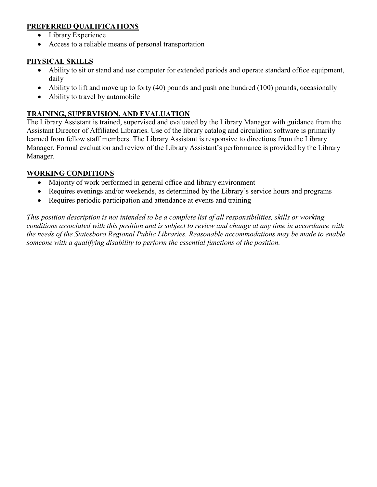# **PREFERRED QUALIFICATIONS**

- Library Experience
- Access to a reliable means of personal transportation

### **PHYSICAL SKILLS**

- Ability to sit or stand and use computer for extended periods and operate standard office equipment, daily
- Ability to lift and move up to forty (40) pounds and push one hundred (100) pounds, occasionally
- Ability to travel by automobile

# **TRAINING, SUPERVISION, AND EVALUATION**

The Library Assistant is trained, supervised and evaluated by the Library Manager with guidance from the Assistant Director of Affiliated Libraries. Use of the library catalog and circulation software is primarily learned from fellow staff members. The Library Assistant is responsive to directions from the Library Manager. Formal evaluation and review of the Library Assistant's performance is provided by the Library Manager.

### **WORKING CONDITIONS**

- Majority of work performed in general office and library environment
- Requires evenings and/or weekends, as determined by the Library's service hours and programs
- Requires periodic participation and attendance at events and training

*This position description is not intended to be a complete list of all responsibilities, skills or working conditions associated with this position and is subject to review and change at any time in accordance with the needs of the Statesboro Regional Public Libraries. Reasonable accommodations may be made to enable someone with a qualifying disability to perform the essential functions of the position.*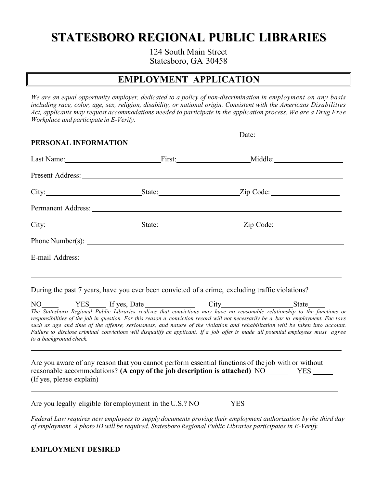# **STATESBORO REGIONAL PUBLIC LIBRARIES**

124 South Main Street Statesboro, GA 30458

# **EMPLOYMENT APPLICATION**

*We are an equal opportunity employer, dedicated to a policy of non-discrimination in employment on any basis including race, color, age, sex, religion, disability, or national origin. Consistent with the Americans Disabilities Act, applicants may request accommodations needed to participate in the application process. We are a Drug Free Workplace and participate in E-Verify.*

| Date: $\qquad \qquad$<br>PERSONAL INFORMATION |                                                                                                 |  |  |
|-----------------------------------------------|-------------------------------------------------------------------------------------------------|--|--|
|                                               |                                                                                                 |  |  |
|                                               | Last Name: First: Middle: Middle:                                                               |  |  |
|                                               |                                                                                                 |  |  |
|                                               |                                                                                                 |  |  |
|                                               |                                                                                                 |  |  |
|                                               |                                                                                                 |  |  |
|                                               |                                                                                                 |  |  |
|                                               |                                                                                                 |  |  |
|                                               |                                                                                                 |  |  |
|                                               | During the past 7 years, have you ever been convicted of a crime, excluding traffic violations? |  |  |
|                                               | $NO$ $YES$ If yes, Date City State State                                                        |  |  |

*The Statesboro Regional Public Libraries realizes that convictions may have no reasonable relationship to the functions or responsibilities of the job in question. For this reason a conviction record will not necessarily be a bar to employment. Fac tors such as age and time of the offense, seriousness, and nature of the violation and rehabilitation will be taken into account. Failure to disclose criminal convictions will disqualify an applicant. If a job offer is made all potential employees must agree to a background check.*

Are you aware of any reason that you cannot perform essential functions of the job with or without reasonable accommodations? **(A copy of the job description is attached)** NO (If yes, please explain) YES

Are you legally eligible for employment in the U.S.? NO YES

*Federal Law requires new employees to supply documents proving their employment authorization by the third day of employment. A photo ID will be required. Statesboro Regional Public Libraries participates in E-Verify.*

#### **EMPLOYMENT DESIRED**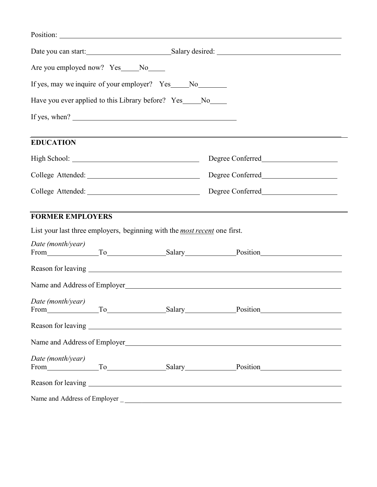|                                     |                                                                                  | Date you can start: Salary desired: Salary desired:                              |  |
|-------------------------------------|----------------------------------------------------------------------------------|----------------------------------------------------------------------------------|--|
| Are you employed now? Yes____No____ |                                                                                  |                                                                                  |  |
|                                     | If yes, may we inquire of your employer? Yes _____ No ________                   |                                                                                  |  |
|                                     | Have you ever applied to this Library before? Yes ____ No____                    |                                                                                  |  |
|                                     |                                                                                  |                                                                                  |  |
| <b>EDUCATION</b>                    |                                                                                  |                                                                                  |  |
|                                     |                                                                                  |                                                                                  |  |
|                                     |                                                                                  |                                                                                  |  |
|                                     |                                                                                  |                                                                                  |  |
| <b>FORMER EMPLOYERS</b>             |                                                                                  | ,我们也不会有什么。""我们的人,我们也不会有什么?""我们的人,我们也不会有什么?""我们的人,我们也不会有什么?""我们的人,我们也不会有什么?""我们的人 |  |
|                                     | List your last three employers, beginning with the <i>most recent</i> one first. |                                                                                  |  |
| Date (month/year)                   |                                                                                  | From To Salary Position Position                                                 |  |
|                                     |                                                                                  |                                                                                  |  |
|                                     |                                                                                  | Name and Address of Employer<br><u>Letter and Address of Employer</u>            |  |
| Date (month/year)                   |                                                                                  | From To Salary Position                                                          |  |
|                                     |                                                                                  |                                                                                  |  |
|                                     |                                                                                  | Name and Address of Employer<br><u>Letter and Address of Employer</u>            |  |
| Date (month/year)                   |                                                                                  | From To Salary Position                                                          |  |
|                                     |                                                                                  |                                                                                  |  |
|                                     |                                                                                  |                                                                                  |  |